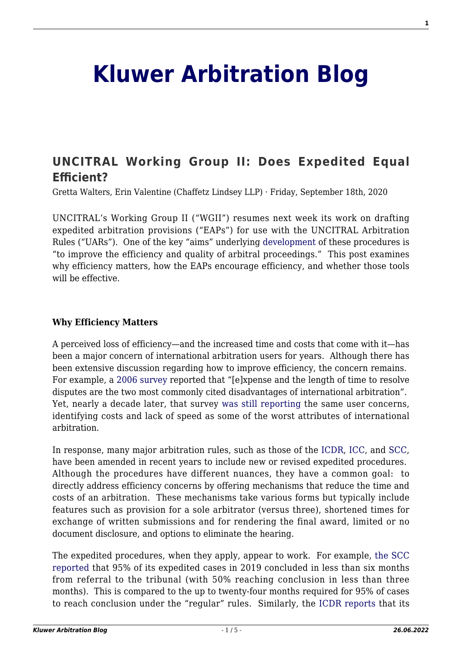# **[Kluwer Arbitration Blog](http://arbitrationblog.kluwerarbitration.com/)**

## **[UNCITRAL Working Group II: Does Expedited Equal](http://arbitrationblog.kluwerarbitration.com/2020/09/18/uncitral-working-group-ii-does-expedited-equal-efficient/) [Efficient?](http://arbitrationblog.kluwerarbitration.com/2020/09/18/uncitral-working-group-ii-does-expedited-equal-efficient/)**

Gretta Walters, Erin Valentine (Chaffetz Lindsey LLP) · Friday, September 18th, 2020

UNCITRAL's Working Group II ("WGII") resumes next week its work on drafting expedited arbitration provisions ("EAPs") for use with the UNCITRAL Arbitration Rules ("UARs"). One of the key "aims" underlying [development](https://undocs.org/en/A/CN.9/969) of these procedures is "to improve the efficiency and quality of arbitral proceedings." This post examines why efficiency matters, how the EAPs encourage efficiency, and whether those tools will be effective.

#### **Why Efficiency Matters**

A perceived loss of efficiency—and the increased time and costs that come with it—has been a major concern of international arbitration users for years. Although there has been extensive discussion regarding how to improve efficiency, the concern remains. For example, a [2006 survey](http://www.arbitration.qmul.ac.uk/media/arbitration/docs/IAstudy_2006.pdf) reported that "[e]xpense and the length of time to resolve disputes are the two most commonly cited disadvantages of international arbitration". Yet, nearly a decade later, that survey [was still reporting](https://www.whitecase.com/sites/whitecase/files/files/download/publications/qmul-international-arbitration-survey-2015_0.pdf) the same user concerns, identifying costs and lack of speed as some of the worst attributes of international arbitration.

In response, many major arbitration rules, such as those of the [ICDR,](https://www.adr.org/sites/default/files/ICDR%20Rules_0.pdf) [ICC](https://iccwbo.org/dispute-resolution-services/arbitration/rules-of-arbitration/#article_expeditedprocedure1), and [SCC](https://sccinstitute.com/media/1407444/arbitrationrules_eng_2020.pdf), have been amended in recent years to include new or revised expedited procedures. Although the procedures have different nuances, they have a common goal: to directly address efficiency concerns by offering mechanisms that reduce the time and costs of an arbitration. These mechanisms take various forms but typically include features such as provision for a sole arbitrator (versus three), shortened times for exchange of written submissions and for rendering the final award, limited or no document disclosure, and options to eliminate the hearing.

The expedited procedures, when they apply, appear to work. For example, [the SCC](https://sccinstitute.com/statistics/) [reported](https://sccinstitute.com/statistics/) that 95% of its expedited cases in 2019 concluded in less than six months from referral to the tribunal (with 50% reaching conclusion in less than three months). This is compared to the up to twenty-four months required for 95% of cases to reach conclusion under the "regular" rules. Similarly, the [ICDR reports](https://www.adr.org/sites/default/files/document_repository/Luis%20Martinez%20on%20the%20ICDR%20Rules%20-%20Clyde%20and%20Co.%20International%20Arbitration%201-3LY%20Interview.pdf) that its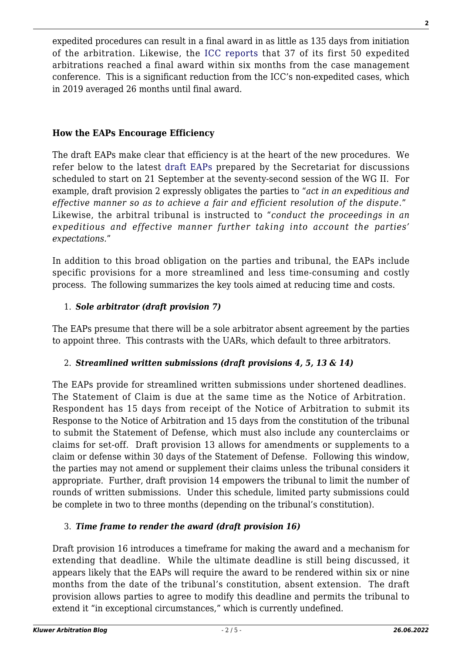expedited procedures can result in a final award in as little as 135 days from initiation of the arbitration. Likewise, the [ICC reports](https://iccwbo.org/publication/icc-dispute-resolution-statistics/) that 37 of its first 50 expedited arbitrations reached a final award within six months from the case management conference. This is a significant reduction from the ICC's non-expedited cases, which in 2019 averaged 26 months until final award.

#### **How the EAPs Encourage Efficiency**

The draft EAPs make clear that efficiency is at the heart of the new procedures. We refer below to the latest [draft EAPs](https://undocs.org/en/A/CN.9/WG.II/WP.214/Add.1) prepared by the Secretariat for discussions scheduled to start on 21 September at the seventy-second session of the WG II. For example, draft provision 2 expressly obligates the parties to "*act in an expeditious and effective manner so as to achieve a fair and efficient resolution of the dispute*." Likewise, the arbitral tribunal is instructed to "*conduct the proceedings in an expeditious and effective manner further taking into account the parties' expectations.*"

In addition to this broad obligation on the parties and tribunal, the EAPs include specific provisions for a more streamlined and less time-consuming and costly process. The following summarizes the key tools aimed at reducing time and costs.

#### 1. *Sole arbitrator (draft provision 7)*

The EAPs presume that there will be a sole arbitrator absent agreement by the parties to appoint three. This contrasts with the UARs, which default to three arbitrators.

### 2. *Streamlined written submissions (draft provisions 4, 5, 13 & 14)*

The EAPs provide for streamlined written submissions under shortened deadlines. The Statement of Claim is due at the same time as the Notice of Arbitration. Respondent has 15 days from receipt of the Notice of Arbitration to submit its Response to the Notice of Arbitration and 15 days from the constitution of the tribunal to submit the Statement of Defense, which must also include any counterclaims or claims for set-off. Draft provision 13 allows for amendments or supplements to a claim or defense within 30 days of the Statement of Defense. Following this window, the parties may not amend or supplement their claims unless the tribunal considers it appropriate. Further, draft provision 14 empowers the tribunal to limit the number of rounds of written submissions. Under this schedule, limited party submissions could be complete in two to three months (depending on the tribunal's constitution).

#### 3. *Time frame to render the award (draft provision 16)*

Draft provision 16 introduces a timeframe for making the award and a mechanism for extending that deadline. While the ultimate deadline is still being discussed, it appears likely that the EAPs will require the award to be rendered within six or nine months from the date of the tribunal's constitution, absent extension. The draft provision allows parties to agree to modify this deadline and permits the tribunal to extend it "in exceptional circumstances," which is currently undefined.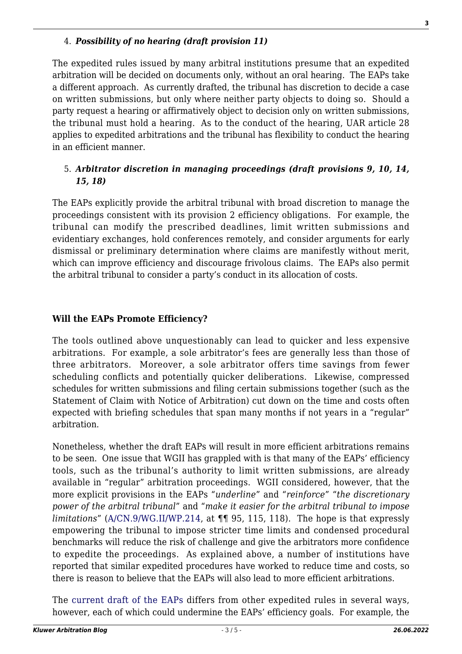The expedited rules issued by many arbitral institutions presume that an expedited arbitration will be decided on documents only, without an oral hearing. The EAPs take a different approach. As currently drafted, the tribunal has discretion to decide a case on written submissions, but only where neither party objects to doing so. Should a party request a hearing or affirmatively object to decision only on written submissions, the tribunal must hold a hearing. As to the conduct of the hearing, UAR article 28 applies to expedited arbitrations and the tribunal has flexibility to conduct the hearing in an efficient manner.

#### 5. *Arbitrator discretion in managing proceedings (draft provisions 9, 10, 14, 15, 18)*

The EAPs explicitly provide the arbitral tribunal with broad discretion to manage the proceedings consistent with its provision 2 efficiency obligations. For example, the tribunal can modify the prescribed deadlines, limit written submissions and evidentiary exchanges, hold conferences remotely, and consider arguments for early dismissal or preliminary determination where claims are manifestly without merit, which can improve efficiency and discourage frivolous claims. The EAPs also permit the arbitral tribunal to consider a party's conduct in its allocation of costs.

#### **Will the EAPs Promote Efficiency?**

The tools outlined above unquestionably can lead to quicker and less expensive arbitrations. For example, a sole arbitrator's fees are generally less than those of three arbitrators. Moreover, a sole arbitrator offers time savings from fewer scheduling conflicts and potentially quicker deliberations. Likewise, compressed schedules for written submissions and filing certain submissions together (such as the Statement of Claim with Notice of Arbitration) cut down on the time and costs often expected with briefing schedules that span many months if not years in a "regular" arbitration.

Nonetheless, whether the draft EAPs will result in more efficient arbitrations remains to be seen. One issue that WGII has grappled with is that many of the EAPs' efficiency tools, such as the tribunal's authority to limit written submissions, are already available in "regular" arbitration proceedings. WGII considered, however, that the more explicit provisions in the EAPs "*underline*" and "*reinforce*" "*the discretionary power of the arbitral tribunal*" and "*make it easier for the arbitral tribunal to impose limitations*" ([A/CN.9/WG.II/WP.214,](https://undocs.org/en/A/CN.9/WG.II/WP.214) at ¶¶ 95, 115, 118). The hope is that expressly empowering the tribunal to impose stricter time limits and condensed procedural benchmarks will reduce the risk of challenge and give the arbitrators more confidence to expedite the proceedings. As explained above, a number of institutions have reported that similar expedited procedures have worked to reduce time and costs, so there is reason to believe that the EAPs will also lead to more efficient arbitrations.

The [current draft of the EAPs](https://undocs.org/en/A/CN.9/WG.II/WP.214/Add.1) differs from other expedited rules in several ways, however, each of which could undermine the EAPs' efficiency goals. For example, the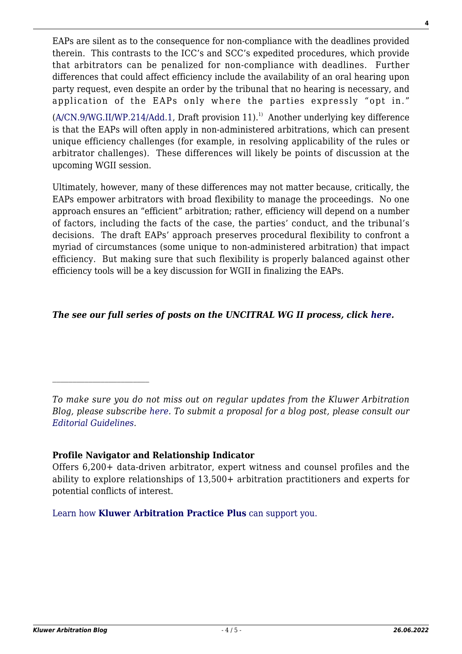EAPs are silent as to the consequence for non-compliance with the deadlines provided therein. This contrasts to the ICC's and SCC's expedited procedures, which provide that arbitrators can be penalized for non-compliance with deadlines. Further differences that could affect efficiency include the availability of an oral hearing upon party request, even despite an order by the tribunal that no hearing is necessary, and application of the EAPs only where the parties expressly "opt in."  $(A/CN.9/WG.II/WP.214/Add.1, Draff provision 11).<sup>1)</sup> Another underlying key difference$  $(A/CN.9/WG.II/WP.214/Add.1, Draff provision 11).<sup>1)</sup> Another underlying key difference$  $(A/CN.9/WG.II/WP.214/Add.1, Draff provision 11).<sup>1)</sup> Another underlying key difference$ is that the EAPs will often apply in non-administered arbitrations, which can present unique efficiency challenges (for example, in resolving applicability of the rules or arbitrator challenges). These differences will likely be points of discussion at the upcoming WGII session.

Ultimately, however, many of these differences may not matter because, critically, the EAPs empower arbitrators with broad flexibility to manage the proceedings. No one approach ensures an "efficient" arbitration; rather, efficiency will depend on a number of factors, including the facts of the case, the parties' conduct, and the tribunal's decisions. The draft EAPs' approach preserves procedural flexibility to confront a myriad of circumstances (some unique to non-administered arbitration) that impact efficiency. But making sure that such flexibility is properly balanced against other efficiency tools will be a key discussion for WGII in finalizing the EAPs.

#### *The see our full series of posts on the UNCITRAL WG II process, click [here](http://arbitrationblog.kluwerarbitration.com/category/archives/uncitral-wg-ii-series/).*

*To make sure you do not miss out on regular updates from the Kluwer Arbitration Blog, please subscribe [here](http://arbitrationblog.kluwerarbitration.com/newsletter/). To submit a proposal for a blog post, please consult our [Editorial Guidelines.](http://arbitrationblog.kluwerarbitration.com/editorial-guidelines/)*

#### **Profile Navigator and Relationship Indicator**

Offers 6,200+ data-driven arbitrator, expert witness and counsel profiles and the ability to explore relationships of 13,500+ arbitration practitioners and experts for potential conflicts of interest.

[Learn how](https://www.wolterskluwer.com/en/solutions/kluwerarbitration/practiceplus?utm_source=arbitrationblog&utm_medium=articleCTA&utm_campaign=article-banner) **[Kluwer Arbitration Practice Plus](https://www.wolterskluwer.com/en/solutions/kluwerarbitration/practiceplus?utm_source=arbitrationblog&utm_medium=articleCTA&utm_campaign=article-banner)** [can support you.](https://www.wolterskluwer.com/en/solutions/kluwerarbitration/practiceplus?utm_source=arbitrationblog&utm_medium=articleCTA&utm_campaign=article-banner)